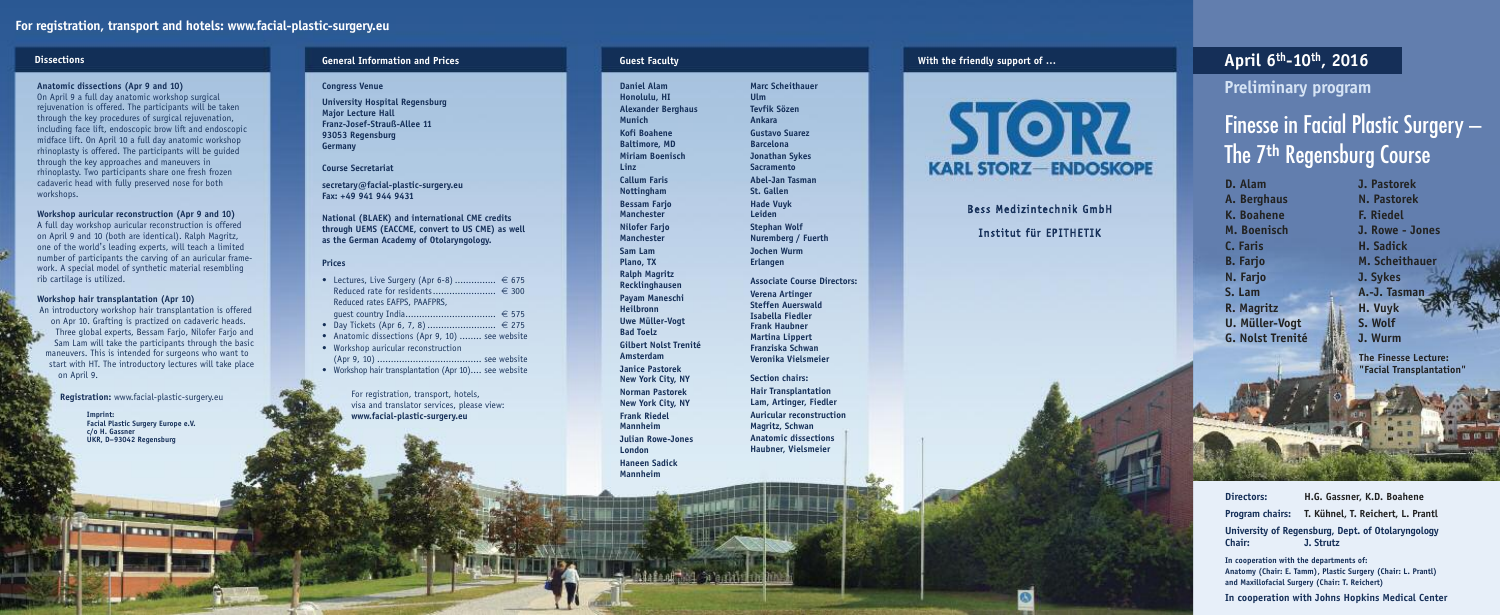**University Hospital Regensburg M aj o r L e c t u r e H a l l** Franz-Josef-Strauß-Allee 11 **9 3 0 5 3 R e g e n s b u r g G e r m a n y**

secretary@facial-plastic-surgery.eu **F a x : + 4 9 9 4 1 9 4 4 9 4 3 1**

National (BLAEK) and international CME credits through UEMS (EACCME, convert to US CME) as well as the German Academy of Otolaryngology.

#### **C o u r s e S e c r e t a r i a t**

#### **P r i c e s**

**Directors:** H.G. Gassner, K.D. Boahene Program chairs: T. Kühnel, T. Reichert, L. Prantl University of Regensburg, Dept. of Otolaryngology **C h a i r : J . S t r u t z**

In cooperation with the departments of: Anatomy (Chair: E. Tamm), Plastic Surgery (Chair: L. Prantl) and Maxillofacial Surgery (Chair: T. Reichert)

In cooperation with Johns Hopkins Medical Center

|           | • Lectures, Live Surgery (Apr 6-8) $\in$ 675         |
|-----------|------------------------------------------------------|
|           | Reduced rate for residents € 300                     |
|           | Reduced rates EAFPS, PAAFPRS,                        |
|           |                                                      |
| $\bullet$ | Day Tickets (Apr 6, 7, 8)  € 275                     |
|           | • Anatomic dissections (Apr 9, 10)  see website      |
|           | • Workshop auricular reconstruction                  |
|           |                                                      |
|           | • Workshop hair transplantation (Apr 10) see website |

For registration, transport, hotels, visa and translator services, please view: www.facial-plastic-surgery.eu

**J . P a s t o r e k N.** Pastorek **F.** Riedel **J . R o w e - J o n e s H . S a d i c k M. Scheithauer J . S y k e s A . - J . Ta s m a n H**. Vuyk **S . W o l f J . W u r m m**<br> **lg**<br> **lf**<br> **g**<br> **lf**<br> **lf**<br> **lf**<br> **lf**<br> **lf**<br> **lf**<br> **lf**<br> **lf**<br> **lf**<br> **lf**<br> **lf**<br> **lf**<br> **lf**<br> **lf**<br> **lf** 

**Finesse Lecture:** "Facial Transplantation"

#### **G u e s t F a c u l t y**

**I m p r i n t :** Facial Plastic Surgery Europe e.V. **c/ o H . G a s s n e r** UKR, D-93042 Regensburg

**ATT FITT FITT** 

#### General Information and Prices

#### **Congress Venue**

#### **D i s s e c t i o n s**

#### Anatomic dissections (Apr 9 and 10)

On April 9 a full day anatomic workshop surgical rejuvenation is offered. The participants will be taken through the key procedures of surgical rejuvenation, including face lift, endoscopic brow lift and endoscopic midface lift. On April 10 a full day anatomic workshop rhinoplasty is offered. The participants will be guided through the key approaches and maneuvers in rhinoplasty. Two participants share one fresh frozen cadaveric head with fully preserved nose for both workshops.

Workshop auricular reconstruction (Apr 9 and 10)

A full day workshop auricular reconstruction is offered on April 9 and 10 (both are identical). Ralph Magritz, one of the world's leading experts, will teach a limited number of participants the carving of an auricular framework. A special model of synthetic material resembling rib cartilage is utilized.

#### Workshop hair transplantation (Apr 10)

An introductory workshop hair transplantation is offered on Apr 10. Grafting is practized on cadaveric heads. Three global experts, Bessam Farjo, Nilofer Farjo and Sam Lam will take the participants through the basic maneuvers. This is intended for surgeons who want to start with HT. The introductory lectures will take place on April 9.

**Registration:** www.facial-plastic-surgery.eu

**Marc Scheithauer U l m Te v fi k S ö z e n A n k a r a Gustavo Suarez Barcelona J o n a t h a n S y k e s S a c r a m e n t o A b e l - J a n Ta s m a n S t . G a l l e n H a d e V u y k L e i d e n Stephan Wolf** Nuremberg / Fuerth **J o c h e n W u r m E r l a n g e n**

Associate Course Directors: **Verena Artinger Steffen Auerswald** Isabella Fiedler **Frank Haubner Martina Lippert Franziska Schwan** Veronika Vielsmeier

**Section chairs:** Hair Transplantation Lam, Artinger, Fiedler Auricular reconstruction **Magritz, Schwan Anatomic dissections Haubner, Vielsmeier** 

With the friendly support of ...



Bess Medizintechnik GmbH Institut für EPITHETIK

**Daniel Alam H o n o l u l u , H I Alexander Berghaus M u n i c h K o fi B o a h e n e Baltimore, MD M i r i a m B o e n i s c h L i n z Callum Faris N o t t i n g h a m Bessam Farjo Manchester N i l o f e r F a rj o Manchester S a m L a m P l a n o , TX Ralph Magritz R e c k l i n g h a u s e n Payam Maneschi H e i l b r o n n U w e M ü l l e r - V o g t B a d To e l z Gilbert Nolst Trenité A**msterdam **J a n i c e P a s t o r e k N e w Yo r k C i t y, N Y Norman Pastorek N e w Yo r k C i t y, N Y Frank Riedel M a n n h e i m Julian Rowe-Jones London Haneen Sadick M a n n h e i m**

## **A p r i l 6 t h - 1 0 t h , 2 0 1 6**

**Preliminary progra** 

#### Finesse in Facial Plastic Surgery – i i i l l i The 7<sup>th</sup> Regensburg Course

**D.** Alam **A.** Berghaus **K . B o a h e n e M . B o e n i s c h C . F a r i s B.** Farjo **N . F a rj o S . L a m R.** Magritz U. Müller-Vogt **G.** Nolst Trenité